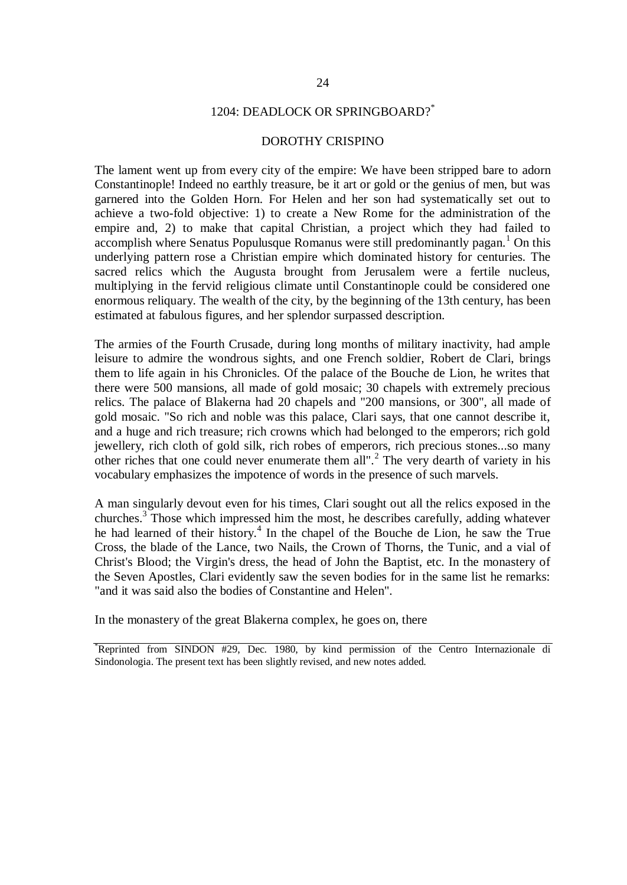## 1204: DEADLOCK OR SPRINGBOARD?\*

## DOROTHY CRISPINO

The lament went up from every city of the empire: We have been stripped bare to adorn Constantinople! Indeed no earthly treasure, be it art or gold or the genius of men, but was garnered into the Golden Horn. For Helen and her son had systematically set out to achieve a two-fold objective: 1) to create a New Rome for the administration of the empire and, 2) to make that capital Christian, a project which they had failed to accomplish where Senatus Populusque Romanus were still predominantly pagan.<sup>1</sup> On this underlying pattern rose a Christian empire which dominated history for centuries. The sacred relics which the Augusta brought from Jerusalem were a fertile nucleus, multiplying in the fervid religious climate until Constantinople could be considered one enormous reliquary. The wealth of the city, by the beginning of the 13th century, has been estimated at fabulous figures, and her splendor surpassed description.

The armies of the Fourth Crusade, during long months of military inactivity, had ample leisure to admire the wondrous sights, and one French soldier, Robert de Clari, brings them to life again in his Chronicles. Of the palace of the Bouche de Lion, he writes that there were 500 mansions, all made of gold mosaic; 30 chapels with extremely precious relics. The palace of Blakerna had 20 chapels and "200 mansions, or 300", all made of gold mosaic. "So rich and noble was this palace, Clari says, that one cannot describe it, and a huge and rich treasure; rich crowns which had belonged to the emperors; rich gold jewellery, rich cloth of gold silk, rich robes of emperors, rich precious stones...so many other riches that one could never enumerate them all".<sup>2</sup> The very dearth of variety in his vocabulary emphasizes the impotence of words in the presence of such marvels.

A man singularly devout even for his times, Clari sought out all the relics exposed in the churches.<sup>3</sup> Those which impressed him the most, he describes carefully, adding whatever he had learned of their history.<sup>4</sup> In the chapel of the Bouche de Lion, he saw the True Cross, the blade of the Lance, two Nails, the Crown of Thorns, the Tunic, and a vial of Christ's Blood; the Virgin's dress, the head of John the Baptist, etc. In the monastery of the Seven Apostles, Clari evidently saw the seven bodies for in the same list he remarks: "and it was said also the bodies of Constantine and Helen".

In the monastery of the great Blakerna complex, he goes on, there

<sup>\*</sup>Reprinted from SINDON #29, Dec. 1980, by kind permission of the Centro Internazionale di Sindonologia. The present text has been slightly revised, and new notes added.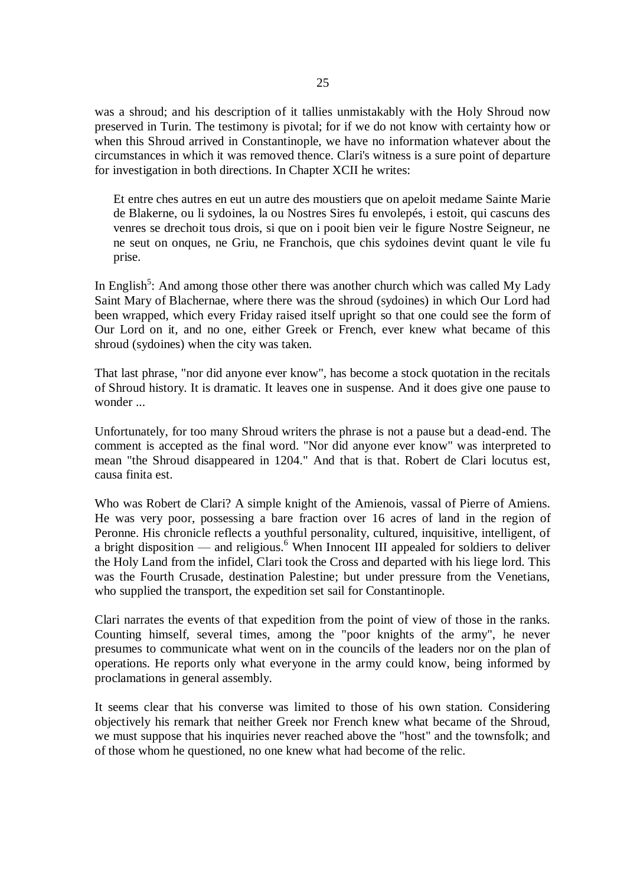was a shroud; and his description of it tallies unmistakably with the Holy Shroud now preserved in Turin. The testimony is pivotal; for if we do not know with certainty how or when this Shroud arrived in Constantinople, we have no information whatever about the circumstances in which it was removed thence. Clari's witness is a sure point of departure for investigation in both directions. In Chapter XCII he writes:

Et entre ches autres en eut un autre des moustiers que on apeloit medame Sainte Marie de Blakerne, ou li sydoines, la ou Nostres Sires fu envolepés, i estoit, qui cascuns des venres se drechoit tous drois, si que on i pooit bien veir le figure Nostre Seigneur, ne ne seut on onques, ne Griu, ne Franchois, que chis sydoines devint quant le vile fu prise.

In English<sup>5</sup>: And among those other there was another church which was called My Lady Saint Mary of Blachernae, where there was the shroud (sydoines) in which Our Lord had been wrapped, which every Friday raised itself upright so that one could see the form of Our Lord on it, and no one, either Greek or French, ever knew what became of this shroud (sydoines) when the city was taken.

That last phrase, "nor did anyone ever know", has become a stock quotation in the recitals of Shroud history. It is dramatic. It leaves one in suspense. And it does give one pause to wonder ...

Unfortunately, for too many Shroud writers the phrase is not a pause but a dead-end. The comment is accepted as the final word. "Nor did anyone ever know" was interpreted to mean "the Shroud disappeared in 1204." And that is that. Robert de Clari locutus est, causa finita est.

Who was Robert de Clari? A simple knight of the Amienois, vassal of Pierre of Amiens. He was very poor, possessing a bare fraction over 16 acres of land in the region of Peronne. His chronicle reflects a youthful personality, cultured, inquisitive, intelligent, of a bright disposition — and religious. $6$  When Innocent III appealed for soldiers to deliver the Holy Land from the infidel, Clari took the Cross and departed with his liege lord. This was the Fourth Crusade, destination Palestine; but under pressure from the Venetians, who supplied the transport, the expedition set sail for Constantinople.

Clari narrates the events of that expedition from the point of view of those in the ranks. Counting himself, several times, among the "poor knights of the army", he never presumes to communicate what went on in the councils of the leaders nor on the plan of operations. He reports only what everyone in the army could know, being informed by proclamations in general assembly.

It seems clear that his converse was limited to those of his own station. Considering objectively his remark that neither Greek nor French knew what became of the Shroud, we must suppose that his inquiries never reached above the "host" and the townsfolk; and of those whom he questioned, no one knew what had become of the relic.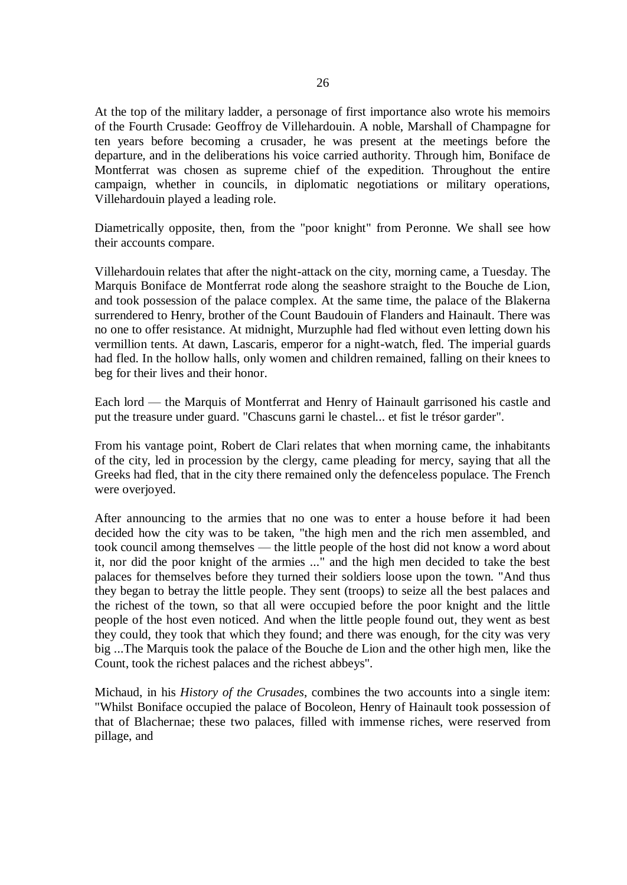At the top of the military ladder, a personage of first importance also wrote his memoirs of the Fourth Crusade: Geoffroy de Villehardouin. A noble, Marshall of Champagne for ten years before becoming a crusader, he was present at the meetings before the departure, and in the deliberations his voice carried authority. Through him, Boniface de Montferrat was chosen as supreme chief of the expedition. Throughout the entire campaign, whether in councils, in diplomatic negotiations or military operations, Villehardouin played a leading role.

Diametrically opposite, then, from the "poor knight" from Peronne. We shall see how their accounts compare.

Villehardouin relates that after the night-attack on the city, morning came, a Tuesday. The Marquis Boniface de Montferrat rode along the seashore straight to the Bouche de Lion, and took possession of the palace complex. At the same time, the palace of the Blakerna surrendered to Henry, brother of the Count Baudouin of Flanders and Hainault. There was no one to offer resistance. At midnight, Murzuphle had fled without even letting down his vermillion tents. At dawn, Lascaris, emperor for a night-watch, fled. The imperial guards had fled. In the hollow halls, only women and children remained, falling on their knees to beg for their lives and their honor.

Each lord — the Marquis of Montferrat and Henry of Hainault garrisoned his castle and put the treasure under guard. "Chascuns garni le chastel... et fist le trésor garder".

From his vantage point, Robert de Clari relates that when morning came, the inhabitants of the city, led in procession by the clergy, came pleading for mercy, saying that all the Greeks had fled, that in the city there remained only the defenceless populace. The French were overjoyed.

After announcing to the armies that no one was to enter a house before it had been decided how the city was to be taken, "the high men and the rich men assembled, and took council among themselves — the little people of the host did not know a word about it, nor did the poor knight of the armies ..." and the high men decided to take the best palaces for themselves before they turned their soldiers loose upon the town. "And thus they began to betray the little people. They sent (troops) to seize all the best palaces and the richest of the town, so that all were occupied before the poor knight and the little people of the host even noticed. And when the little people found out, they went as best they could, they took that which they found; and there was enough, for the city was very big ...The Marquis took the palace of the Bouche de Lion and the other high men, like the Count, took the richest palaces and the richest abbeys".

Michaud, in his *History of the Crusades*, combines the two accounts into a single item: "Whilst Boniface occupied the palace of Bocoleon, Henry of Hainault took possession of that of Blachernae; these two palaces, filled with immense riches, were reserved from pillage, and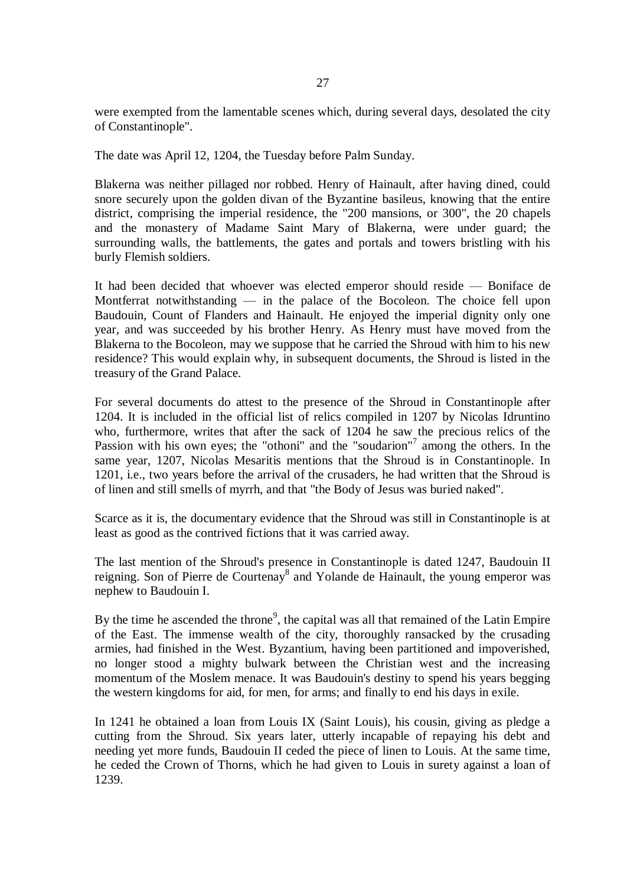were exempted from the lamentable scenes which, during several days, desolated the city of Constantinople".

The date was April 12, 1204, the Tuesday before Palm Sunday.

Blakerna was neither pillaged nor robbed. Henry of Hainault, after having dined, could snore securely upon the golden divan of the Byzantine basileus, knowing that the entire district, comprising the imperial residence, the "200 mansions, or 300", the 20 chapels and the monastery of Madame Saint Mary of Blakerna, were under guard; the surrounding walls, the battlements, the gates and portals and towers bristling with his burly Flemish soldiers.

It had been decided that whoever was elected emperor should reside — Boniface de Montferrat notwithstanding — in the palace of the Bocoleon. The choice fell upon Baudouin, Count of Flanders and Hainault. He enjoyed the imperial dignity only one year, and was succeeded by his brother Henry. As Henry must have moved from the Blakerna to the Bocoleon, may we suppose that he carried the Shroud with him to his new residence? This would explain why, in subsequent documents, the Shroud is listed in the treasury of the Grand Palace.

For several documents do attest to the presence of the Shroud in Constantinople after 1204. It is included in the official list of relics compiled in 1207 by Nicolas Idruntino who, furthermore, writes that after the sack of 1204 he saw the precious relics of the Passion with his own eyes; the "othoni" and the "soudarion"<sup>7</sup> among the others. In the same year, 1207, Nicolas Mesaritis mentions that the Shroud is in Constantinople. In 1201, i.e., two years before the arrival of the crusaders, he had written that the Shroud is of linen and still smells of myrrh, and that "the Body of Jesus was buried naked".

Scarce as it is, the documentary evidence that the Shroud was still in Constantinople is at least as good as the contrived fictions that it was carried away.

The last mention of the Shroud's presence in Constantinople is dated 1247, Baudouin II reigning. Son of Pierre de Courtenay<sup>8</sup> and Yolande de Hainault, the young emperor was nephew to Baudouin I.

By the time he ascended the throne<sup>9</sup>, the capital was all that remained of the Latin Empire of the East. The immense wealth of the city, thoroughly ransacked by the crusading armies, had finished in the West. Byzantium, having been partitioned and impoverished, no longer stood a mighty bulwark between the Christian west and the increasing momentum of the Moslem menace. It was Baudouin's destiny to spend his years begging the western kingdoms for aid, for men, for arms; and finally to end his days in exile.

In 1241 he obtained a loan from Louis IX (Saint Louis), his cousin, giving as pledge a cutting from the Shroud. Six years later, utterly incapable of repaying his debt and needing yet more funds, Baudouin II ceded the piece of linen to Louis. At the same time, he ceded the Crown of Thorns, which he had given to Louis in surety against a loan of 1239.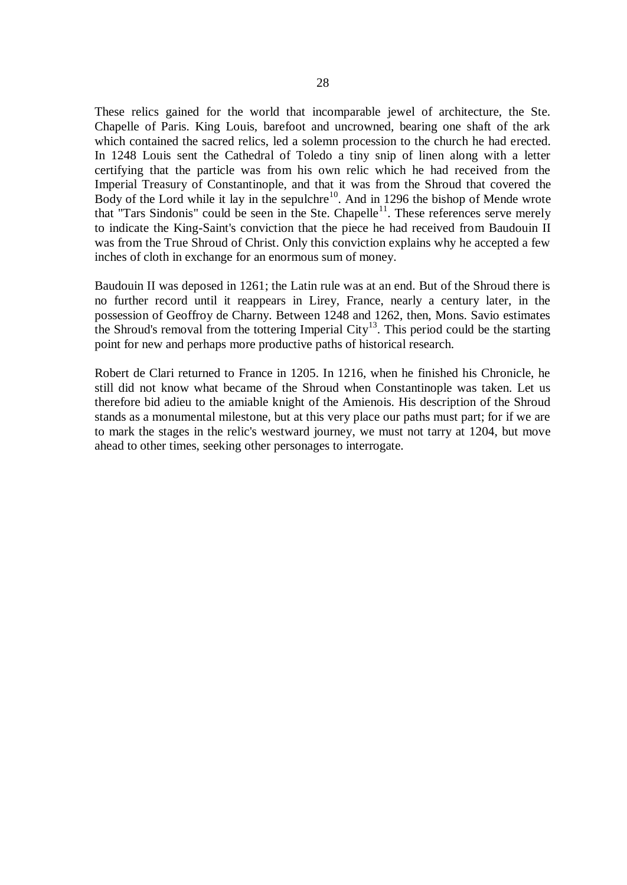These relics gained for the world that incomparable jewel of architecture, the Ste. Chapelle of Paris. King Louis, barefoot and uncrowned, bearing one shaft of the ark which contained the sacred relics, led a solemn procession to the church he had erected. In 1248 Louis sent the Cathedral of Toledo a tiny snip of linen along with a letter certifying that the particle was from his own relic which he had received from the Imperial Treasury of Constantinople, and that it was from the Shroud that covered the Body of the Lord while it lay in the sepulchre<sup>10</sup>. And in 1296 the bishop of Mende wrote that "Tars Sindonis" could be seen in the Ste. Chapelle<sup>11</sup>. These references serve merely to indicate the King-Saint's conviction that the piece he had received from Baudouin II was from the True Shroud of Christ. Only this conviction explains why he accepted a few inches of cloth in exchange for an enormous sum of money.

Baudouin II was deposed in 1261; the Latin rule was at an end. But of the Shroud there is no further record until it reappears in Lirey, France, nearly a century later, in the possession of Geoffroy de Charny. Between 1248 and 1262, then, Mons. Savio estimates the Shroud's removal from the tottering Imperial City<sup>13</sup>. This period could be the starting point for new and perhaps more productive paths of historical research.

Robert de Clari returned to France in 1205. In 1216, when he finished his Chronicle, he still did not know what became of the Shroud when Constantinople was taken. Let us therefore bid adieu to the amiable knight of the Amienois. His description of the Shroud stands as a monumental milestone, but at this very place our paths must part; for if we are to mark the stages in the relic's westward journey, we must not tarry at 1204, but move ahead to other times, seeking other personages to interrogate.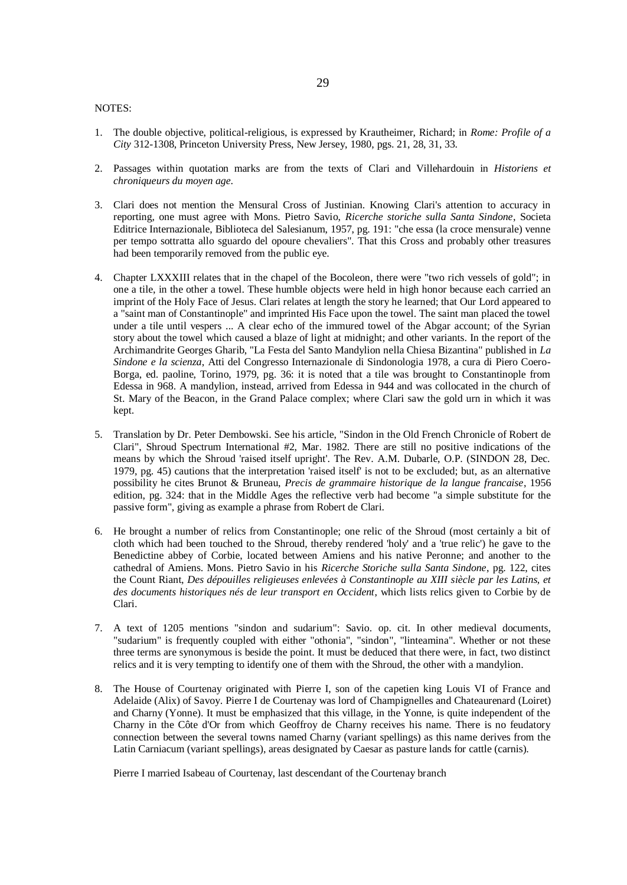## NOTES:

- 1. The double objective, political-religious, is expressed by Krautheimer, Richard; in *Rome: Profile of a City* 312-1308, Princeton University Press, New Jersey, 1980, pgs. 21, 28, 31, 33.
- 2. Passages within quotation marks are from the texts of Clari and Villehardouin in *Historiens et chroniqueurs du moyen age*.
- 3. Clari does not mention the Mensural Cross of Justinian. Knowing Clari's attention to accuracy in reporting, one must agree with Mons. Pietro Savio, *Ricerche storiche sulla Santa Sindone*, Societa Editrice Internazionale, Biblioteca del Salesianum, 1957, pg. 191: "che essa (la croce mensurale) venne per tempo sottratta allo sguardo del opoure chevaliers". That this Cross and probably other treasures had been temporarily removed from the public eye.
- 4. Chapter LXXXIII relates that in the chapel of the Bocoleon, there were "two rich vessels of gold"; in one a tile, in the other a towel. These humble objects were held in high honor because each carried an imprint of the Holy Face of Jesus. Clari relates at length the story he learned; that Our Lord appeared to a "saint man of Constantinople" and imprinted His Face upon the towel. The saint man placed the towel under a tile until vespers ... A clear echo of the immured towel of the Abgar account; of the Syrian story about the towel which caused a blaze of light at midnight; and other variants. In the report of the Archimandrite Georges Gharib, "La Festa del Santo Mandylion nella Chiesa Bizantina" published in *La Sindone e la scienza*, Atti del Congresso Internazionale di Sindonologia 1978, a cura di Piero Coero-Borga, ed. paoline, Torino, 1979, pg. 36: it is noted that a tile was brought to Constantinople from Edessa in 968. A mandylion, instead, arrived from Edessa in 944 and was collocated in the church of St. Mary of the Beacon, in the Grand Palace complex; where Clari saw the gold urn in which it was kept.
- 5. Translation by Dr. Peter Dembowski. See his article, "Sindon in the Old French Chronicle of Robert de Clari", Shroud Spectrum International #2, Mar. 1982. There are still no positive indications of the means by which the Shroud 'raised itself upright'. The Rev. A.M. Dubarle, O.P. (SINDON 28, Dec. 1979, pg. 45) cautions that the interpretation 'raised itself' is not to be excluded; but, as an alternative possibility he cites Brunot & Bruneau, *Precis de grammaire historique de la langue francaise*, 1956 edition, pg. 324: that in the Middle Ages the reflective verb had become "a simple substitute for the passive form", giving as example a phrase from Robert de Clari.
- 6. He brought a number of relics from Constantinople; one relic of the Shroud (most certainly a bit of cloth which had been touched to the Shroud, thereby rendered 'holy' and a 'true relic') he gave to the Benedictine abbey of Corbie, located between Amiens and his native Peronne; and another to the cathedral of Amiens. Mons. Pietro Savio in his *Ricerche Storiche sulla Santa Sindone*, pg. 122, cites the Count Riant, *Des dépouilles religieuses enlevées à Constantinople au XIII siècle par les Latins, et des documents historiques nés de leur transport en Occident*, which lists relics given to Corbie by de Clari.
- 7. A text of 1205 mentions "sindon and sudarium": Savio. op. cit. In other medieval documents, "sudarium" is frequently coupled with either "othonia", "sindon", "linteamina". Whether or not these three terms are synonymous is beside the point. It must be deduced that there were, in fact, two distinct relics and it is very tempting to identify one of them with the Shroud, the other with a mandylion.
- 8. The House of Courtenay originated with Pierre I, son of the capetien king Louis VI of France and Adelaide (Alix) of Savoy. Pierre I de Courtenay was lord of Champignelles and Chateaurenard (Loiret) and Charny (Yonne). It must be emphasized that this village, in the Yonne, is quite independent of the Charny in the Côte d'Or from which Geoffroy de Charny receives his name. There is no feudatory connection between the several towns named Charny (variant spellings) as this name derives from the Latin Carniacum (variant spellings), areas designated by Caesar as pasture lands for cattle (carnis).

Pierre I married Isabeau of Courtenay, last descendant of the Courtenay branch